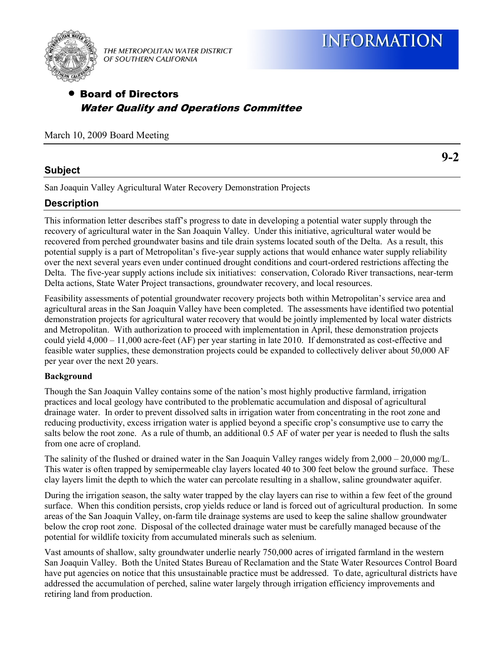



THE METROPOLITAN WATER DISTRICT OF SOUTHERN CALIFORNIA

# Board of Directors Water Quality and Operations Committee

March 10, 2009 Board Meeting

## **Subject**

**9-2** 

San Joaquin Valley Agricultural Water Recovery Demonstration Projects

## **Description**

This information letter describes staff's progress to date in developing a potential water supply through the recovery of agricultural water in the San Joaquin Valley. Under this initiative, agricultural water would be recovered from perched groundwater basins and tile drain systems located south of the Delta. As a result, this potential supply is a part of Metropolitan's five-year supply actions that would enhance water supply reliability over the next several years even under continued drought conditions and court-ordered restrictions affecting the Delta. The five-year supply actions include six initiatives: conservation, Colorado River transactions, near-term Delta actions, State Water Project transactions, groundwater recovery, and local resources.

Feasibility assessments of potential groundwater recovery projects both within Metropolitan's service area and agricultural areas in the San Joaquin Valley have been completed. The assessments have identified two potential demonstration projects for agricultural water recovery that would be jointly implemented by local water districts and Metropolitan. With authorization to proceed with implementation in April, these demonstration projects could yield 4,000 – 11,000 acre-feet (AF) per year starting in late 2010. If demonstrated as cost-effective and feasible water supplies, these demonstration projects could be expanded to collectively deliver about 50,000 AF per year over the next 20 years.

### **Background**

Though the San Joaquin Valley contains some of the nation's most highly productive farmland, irrigation practices and local geology have contributed to the problematic accumulation and disposal of agricultural drainage water. In order to prevent dissolved salts in irrigation water from concentrating in the root zone and reducing productivity, excess irrigation water is applied beyond a specific crop's consumptive use to carry the salts below the root zone. As a rule of thumb, an additional 0.5 AF of water per year is needed to flush the salts from one acre of cropland.

The salinity of the flushed or drained water in the San Joaquin Valley ranges widely from 2,000 – 20,000 mg/L. This water is often trapped by semipermeable clay layers located 40 to 300 feet below the ground surface. These clay layers limit the depth to which the water can percolate resulting in a shallow, saline groundwater aquifer.

During the irrigation season, the salty water trapped by the clay layers can rise to within a few feet of the ground surface. When this condition persists, crop yields reduce or land is forced out of agricultural production. In some areas of the San Joaquin Valley, on-farm tile drainage systems are used to keep the saline shallow groundwater below the crop root zone. Disposal of the collected drainage water must be carefully managed because of the potential for wildlife toxicity from accumulated minerals such as selenium.

Vast amounts of shallow, salty groundwater underlie nearly 750,000 acres of irrigated farmland in the western San Joaquin Valley. Both the United States Bureau of Reclamation and the State Water Resources Control Board have put agencies on notice that this unsustainable practice must be addressed. To date, agricultural districts have addressed the accumulation of perched, saline water largely through irrigation efficiency improvements and retiring land from production.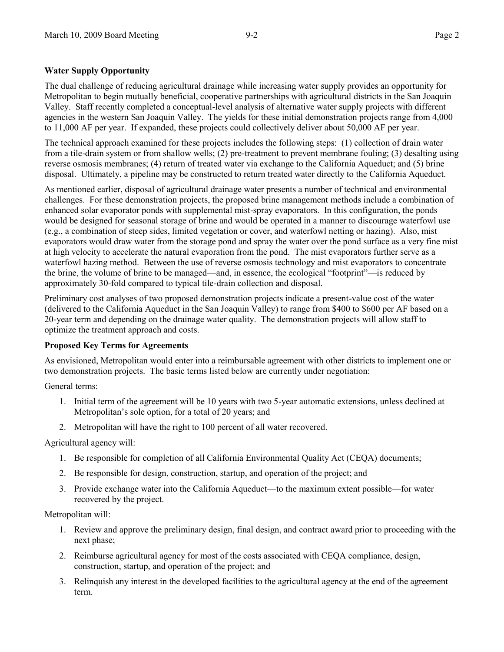## **Water Supply Opportunity**

The dual challenge of reducing agricultural drainage while increasing water supply provides an opportunity for Metropolitan to begin mutually beneficial, cooperative partnerships with agricultural districts in the San Joaquin Valley. Staff recently completed a conceptual-level analysis of alternative water supply projects with different agencies in the western San Joaquin Valley. The yields for these initial demonstration projects range from 4,000 to 11,000 AF per year. If expanded, these projects could collectively deliver about 50,000 AF per year.

The technical approach examined for these projects includes the following steps: (1) collection of drain water from a tile-drain system or from shallow wells; (2) pre-treatment to prevent membrane fouling; (3) desalting using reverse osmosis membranes; (4) return of treated water via exchange to the California Aqueduct; and (5) brine disposal. Ultimately, a pipeline may be constructed to return treated water directly to the California Aqueduct.

As mentioned earlier, disposal of agricultural drainage water presents a number of technical and environmental challenges. For these demonstration projects, the proposed brine management methods include a combination of enhanced solar evaporator ponds with supplemental mist-spray evaporators. In this configuration, the ponds would be designed for seasonal storage of brine and would be operated in a manner to discourage waterfowl use (e.g., a combination of steep sides, limited vegetation or cover, and waterfowl netting or hazing). Also, mist evaporators would draw water from the storage pond and spray the water over the pond surface as a very fine mist at high velocity to accelerate the natural evaporation from the pond. The mist evaporators further serve as a waterfowl hazing method. Between the use of reverse osmosis technology and mist evaporators to concentrate the brine, the volume of brine to be managed—and, in essence, the ecological "footprint"—is reduced by approximately 30-fold compared to typical tile-drain collection and disposal.

Preliminary cost analyses of two proposed demonstration projects indicate a present-value cost of the water (delivered to the California Aqueduct in the San Joaquin Valley) to range from \$400 to \$600 per AF based on a 20-year term and depending on the drainage water quality. The demonstration projects will allow staff to optimize the treatment approach and costs.

### **Proposed Key Terms for Agreements**

As envisioned, Metropolitan would enter into a reimbursable agreement with other districts to implement one or two demonstration projects. The basic terms listed below are currently under negotiation:

General terms:

- 1. Initial term of the agreement will be 10 years with two 5-year automatic extensions, unless declined at Metropolitan's sole option, for a total of 20 years; and
- 2. Metropolitan will have the right to 100 percent of all water recovered.

### Agricultural agency will:

- 1. Be responsible for completion of all California Environmental Quality Act (CEQA) documents;
- 2. Be responsible for design, construction, startup, and operation of the project; and
- 3. Provide exchange water into the California Aqueduct—to the maximum extent possible—for water recovered by the project.

Metropolitan will:

- 1. Review and approve the preliminary design, final design, and contract award prior to proceeding with the next phase;
- 2. Reimburse agricultural agency for most of the costs associated with CEQA compliance, design, construction, startup, and operation of the project; and
- 3. Relinquish any interest in the developed facilities to the agricultural agency at the end of the agreement term.